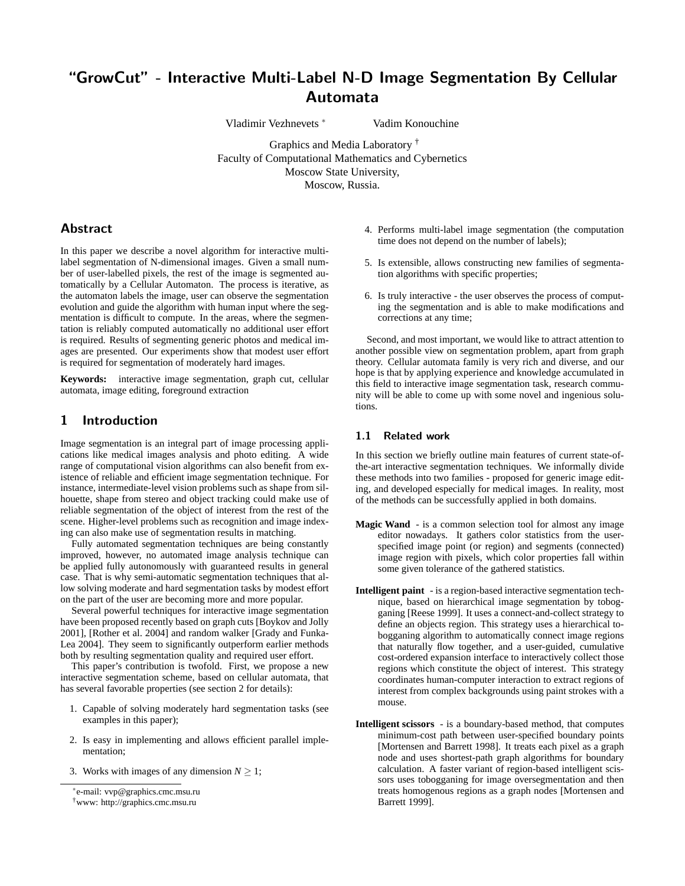# "GrowCut" - Interactive Multi-Label N-D Image Segmentation By Cellular Automata

Vladimir Vezhnevets <sup>∗</sup> Vadim Konouchine

Graphics and Media Laboratory † Faculty of Computational Mathematics and Cybernetics Moscow State University, Moscow, Russia.

# Abstract

In this paper we describe a novel algorithm for interactive multilabel segmentation of N-dimensional images. Given a small number of user-labelled pixels, the rest of the image is segmented automatically by a Cellular Automaton. The process is iterative, as the automaton labels the image, user can observe the segmentation evolution and guide the algorithm with human input where the segmentation is difficult to compute. In the areas, where the segmentation is reliably computed automatically no additional user effort is required. Results of segmenting generic photos and medical images are presented. Our experiments show that modest user effort is required for segmentation of moderately hard images.

**Keywords:** interactive image segmentation, graph cut, cellular automata, image editing, foreground extraction

# 1 Introduction

Image segmentation is an integral part of image processing applications like medical images analysis and photo editing. A wide range of computational vision algorithms can also benefit from existence of reliable and efficient image segmentation technique. For instance, intermediate-level vision problems such as shape from silhouette, shape from stereo and object tracking could make use of reliable segmentation of the object of interest from the rest of the scene. Higher-level problems such as recognition and image indexing can also make use of segmentation results in matching.

Fully automated segmentation techniques are being constantly improved, however, no automated image analysis technique can be applied fully autonomously with guaranteed results in general case. That is why semi-automatic segmentation techniques that allow solving moderate and hard segmentation tasks by modest effort on the part of the user are becoming more and more popular.

Several powerful techniques for interactive image segmentation have been proposed recently based on graph cuts [Boykov and Jolly 2001], [Rother et al. 2004] and random walker [Grady and Funka-Lea 2004]. They seem to significantly outperform earlier methods both by resulting segmentation quality and required user effort.

This paper's contribution is twofold. First, we propose a new interactive segmentation scheme, based on cellular automata, that has several favorable properties (see section 2 for details):

- 1. Capable of solving moderately hard segmentation tasks (see examples in this paper);
- 2. Is easy in implementing and allows efficient parallel implementation;
- 3. Works with images of any dimension  $N > 1$ ;
- 4. Performs multi-label image segmentation (the computation time does not depend on the number of labels);
- 5. Is extensible, allows constructing new families of segmentation algorithms with specific properties;
- 6. Is truly interactive the user observes the process of computing the segmentation and is able to make modifications and corrections at any time;

Second, and most important, we would like to attract attention to another possible view on segmentation problem, apart from graph theory. Cellular automata family is very rich and diverse, and our hope is that by applying experience and knowledge accumulated in this field to interactive image segmentation task, research community will be able to come up with some novel and ingenious solutions.

#### 1.1 Related work

In this section we briefly outline main features of current state-ofthe-art interactive segmentation techniques. We informally divide these methods into two families - proposed for generic image editing, and developed especially for medical images. In reality, most of the methods can be successfully applied in both domains.

- **Magic Wand** is a common selection tool for almost any image editor nowadays. It gathers color statistics from the userspecified image point (or region) and segments (connected) image region with pixels, which color properties fall within some given tolerance of the gathered statistics.
- **Intelligent paint** is a region-based interactive segmentation technique, based on hierarchical image segmentation by tobogganing [Reese 1999]. It uses a connect-and-collect strategy to define an objects region. This strategy uses a hierarchical tobogganing algorithm to automatically connect image regions that naturally flow together, and a user-guided, cumulative cost-ordered expansion interface to interactively collect those regions which constitute the object of interest. This strategy coordinates human-computer interaction to extract regions of interest from complex backgrounds using paint strokes with a mouse.
- **Intelligent scissors** is a boundary-based method, that computes minimum-cost path between user-specified boundary points [Mortensen and Barrett 1998]. It treats each pixel as a graph node and uses shortest-path graph algorithms for boundary calculation. A faster variant of region-based intelligent scissors uses tobogganing for image oversegmentation and then treats homogenous regions as a graph nodes [Mortensen and Barrett 1999].

<sup>∗</sup> e-mail: vvp@graphics.cmc.msu.ru

<sup>†</sup>www: http://graphics.cmc.msu.ru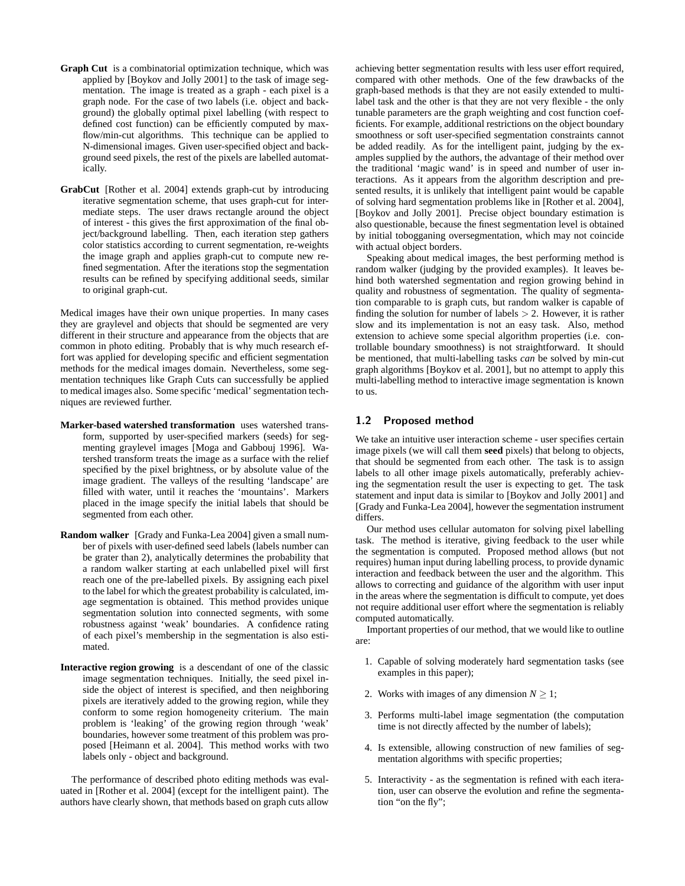- **Graph Cut** is a combinatorial optimization technique, which was applied by [Boykov and Jolly 2001] to the task of image segmentation. The image is treated as a graph - each pixel is a graph node. For the case of two labels (i.e. object and background) the globally optimal pixel labelling (with respect to defined cost function) can be efficiently computed by maxflow/min-cut algorithms. This technique can be applied to N-dimensional images. Given user-specified object and background seed pixels, the rest of the pixels are labelled automatically.
- **GrabCut** [Rother et al. 2004] extends graph-cut by introducing iterative segmentation scheme, that uses graph-cut for intermediate steps. The user draws rectangle around the object of interest - this gives the first approximation of the final object/background labelling. Then, each iteration step gathers color statistics according to current segmentation, re-weights the image graph and applies graph-cut to compute new refined segmentation. After the iterations stop the segmentation results can be refined by specifying additional seeds, similar to original graph-cut.

Medical images have their own unique properties. In many cases they are graylevel and objects that should be segmented are very different in their structure and appearance from the objects that are common in photo editing. Probably that is why much research effort was applied for developing specific and efficient segmentation methods for the medical images domain. Nevertheless, some segmentation techniques like Graph Cuts can successfully be applied to medical images also. Some specific 'medical' segmentation techniques are reviewed further.

- **Marker-based watershed transformation** uses watershed transform, supported by user-specified markers (seeds) for segmenting graylevel images [Moga and Gabbouj 1996]. Watershed transform treats the image as a surface with the relief specified by the pixel brightness, or by absolute value of the image gradient. The valleys of the resulting 'landscape' are filled with water, until it reaches the 'mountains'. Markers placed in the image specify the initial labels that should be segmented from each other.
- **Random walker** [Grady and Funka-Lea 2004] given a small number of pixels with user-defined seed labels (labels number can be grater than 2), analytically determines the probability that a random walker starting at each unlabelled pixel will first reach one of the pre-labelled pixels. By assigning each pixel to the label for which the greatest probability is calculated, image segmentation is obtained. This method provides unique segmentation solution into connected segments, with some robustness against 'weak' boundaries. A confidence rating of each pixel's membership in the segmentation is also estimated.
- **Interactive region growing** is a descendant of one of the classic image segmentation techniques. Initially, the seed pixel inside the object of interest is specified, and then neighboring pixels are iteratively added to the growing region, while they conform to some region homogeneity criterium. The main problem is 'leaking' of the growing region through 'weak' boundaries, however some treatment of this problem was proposed [Heimann et al. 2004]. This method works with two labels only - object and background.

The performance of described photo editing methods was evaluated in [Rother et al. 2004] (except for the intelligent paint). The authors have clearly shown, that methods based on graph cuts allow achieving better segmentation results with less user effort required, compared with other methods. One of the few drawbacks of the graph-based methods is that they are not easily extended to multilabel task and the other is that they are not very flexible - the only tunable parameters are the graph weighting and cost function coefficients. For example, additional restrictions on the object boundary smoothness or soft user-specified segmentation constraints cannot be added readily. As for the intelligent paint, judging by the examples supplied by the authors, the advantage of their method over the traditional 'magic wand' is in speed and number of user interactions. As it appears from the algorithm description and presented results, it is unlikely that intelligent paint would be capable of solving hard segmentation problems like in [Rother et al. 2004], [Boykov and Jolly 2001]. Precise object boundary estimation is also questionable, because the finest segmentation level is obtained by initial tobogganing oversegmentation, which may not coincide with actual object borders.

Speaking about medical images, the best performing method is random walker (judging by the provided examples). It leaves behind both watershed segmentation and region growing behind in quality and robustness of segmentation. The quality of segmentation comparable to is graph cuts, but random walker is capable of finding the solution for number of labels  $> 2$ . However, it is rather slow and its implementation is not an easy task. Also, method extension to achieve some special algorithm properties (i.e. controllable boundary smoothness) is not straightforward. It should be mentioned, that multi-labelling tasks *can* be solved by min-cut graph algorithms [Boykov et al. 2001], but no attempt to apply this multi-labelling method to interactive image segmentation is known to us.

### 1.2 Proposed method

We take an intuitive user interaction scheme - user specifies certain image pixels (we will call them **seed** pixels) that belong to objects, that should be segmented from each other. The task is to assign labels to all other image pixels automatically, preferably achieving the segmentation result the user is expecting to get. The task statement and input data is similar to [Boykov and Jolly 2001] and [Grady and Funka-Lea 2004], however the segmentation instrument differs.

Our method uses cellular automaton for solving pixel labelling task. The method is iterative, giving feedback to the user while the segmentation is computed. Proposed method allows (but not requires) human input during labelling process, to provide dynamic interaction and feedback between the user and the algorithm. This allows to correcting and guidance of the algorithm with user input in the areas where the segmentation is difficult to compute, yet does not require additional user effort where the segmentation is reliably computed automatically.

Important properties of our method, that we would like to outline are:

- 1. Capable of solving moderately hard segmentation tasks (see examples in this paper);
- 2. Works with images of any dimension  $N > 1$ ;
- 3. Performs multi-label image segmentation (the computation time is not directly affected by the number of labels);
- 4. Is extensible, allowing construction of new families of segmentation algorithms with specific properties;
- 5. Interactivity as the segmentation is refined with each iteration, user can observe the evolution and refine the segmentation "on the fly";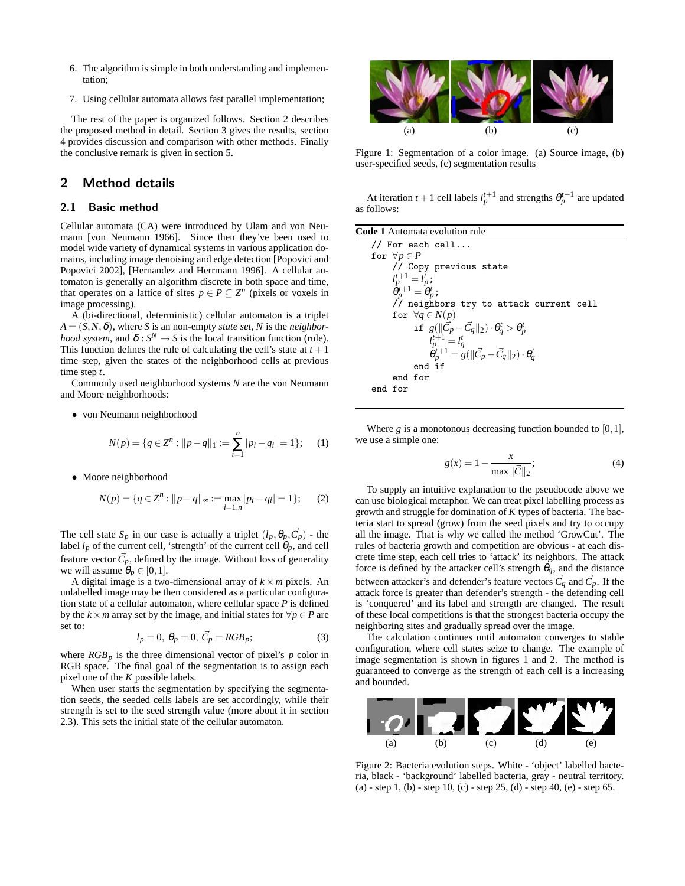- 6. The algorithm is simple in both understanding and implementation;
- 7. Using cellular automata allows fast parallel implementation;

The rest of the paper is organized follows. Section 2 describes the proposed method in detail. Section 3 gives the results, section 4 provides discussion and comparison with other methods. Finally the conclusive remark is given in section 5.

# 2 Method details

#### 2.1 Basic method

Cellular automata (CA) were introduced by Ulam and von Neumann [von Neumann 1966]. Since then they've been used to model wide variety of dynamical systems in various application domains, including image denoising and edge detection [Popovici and Popovici 2002], [Hernandez and Herrmann 1996]. A cellular automaton is generally an algorithm discrete in both space and time, that operates on a lattice of sites  $p \in P \subseteq Z^n$  (pixels or voxels in image processing).

A (bi-directional, deterministic) cellular automaton is a triplet  $A = (S, N, \delta)$ , where *S* is an non-empty *state set*, *N* is the *neighborhood system*, and  $\delta: S^N \to S$  is the local transition function (rule). This function defines the rule of calculating the cell's state at  $t + 1$ time step, given the states of the neighborhood cells at previous time step *t*.

Commonly used neighborhood systems *N* are the von Neumann and Moore neighborhoods:

• von Neumann neighborhood

$$
N(p) = \{q \in \mathbb{Z}^n : ||p - q||_1 := \sum_{i=1}^n |p_i - q_i| = 1\};\tag{1}
$$

• Moore neighborhood

$$
N(p) = \{ q \in \mathbb{Z}^n : ||p - q||_{\infty} := \max_{i = \overline{1, n}} |p_i - q_i| = 1 \};\tag{2}
$$

The cell state  $S_p$  in our case is actually a triplet  $(l_p, \theta_p, \vec{C}_p)$  - the label  $l_p$  of the current cell, 'strength' of the current cell  $\theta_p$ , and cell feature vector  $\vec{C}_p$ , defined by the image. Without loss of generality we will assume  $\theta_p \in [0,1]$ .

A digital image is a two-dimensional array of  $k \times m$  pixels. An unlabelled image may be then considered as a particular configuration state of a cellular automaton, where cellular space *P* is defined by the *k* × *m* array set by the image, and initial states for  $\forall p \in P$  are set to:

$$
l_p = 0, \ \theta_p = 0, \ \vec{C}_p = RGB_p; \tag{3}
$$

where  $RGB_p$  is the three dimensional vector of pixel's  $p$  color in RGB space. The final goal of the segmentation is to assign each pixel one of the *K* possible labels.

When user starts the segmentation by specifying the segmentation seeds, the seeded cells labels are set accordingly, while their strength is set to the seed strength value (more about it in section 2.3). This sets the initial state of the cellular automaton.



Figure 1: Segmentation of a color image. (a) Source image, (b) user-specified seeds, (c) segmentation results

At iteration  $t + 1$  cell labels  $l_p^{t+1}$  and strengths  $\theta_p^{t+1}$  are updated as follows:

Where  $g$  is a monotonous decreasing function bounded to  $[0,1]$ , we use a simple one:

$$
g(x) = 1 - \frac{x}{\max ||\vec{C}||_2};
$$
\n(4)

To supply an intuitive explanation to the pseudocode above we can use biological metaphor. We can treat pixel labelling process as growth and struggle for domination of *K* types of bacteria. The bacteria start to spread (grow) from the seed pixels and try to occupy all the image. That is why we called the method 'GrowCut'. The rules of bacteria growth and competition are obvious - at each discrete time step, each cell tries to 'attack' its neighbors. The attack force is defined by the attacker cell's strength  $\theta_q$ , and the distance between attacker's and defender's feature vectors  $\vec{C}_q$  and  $\vec{C}_p$ . If the attack force is greater than defender's strength - the defending cell is 'conquered' and its label and strength are changed. The result of these local competitions is that the strongest bacteria occupy the neighboring sites and gradually spread over the image.

The calculation continues until automaton converges to stable configuration, where cell states seize to change. The example of image segmentation is shown in figures 1 and 2. The method is guaranteed to converge as the strength of each cell is a increasing and bounded.



Figure 2: Bacteria evolution steps. White - 'object' labelled bacteria, black - 'background' labelled bacteria, gray - neutral territory. (a) - step 1, (b) - step 10, (c) - step 25, (d) - step 40, (e) - step 65.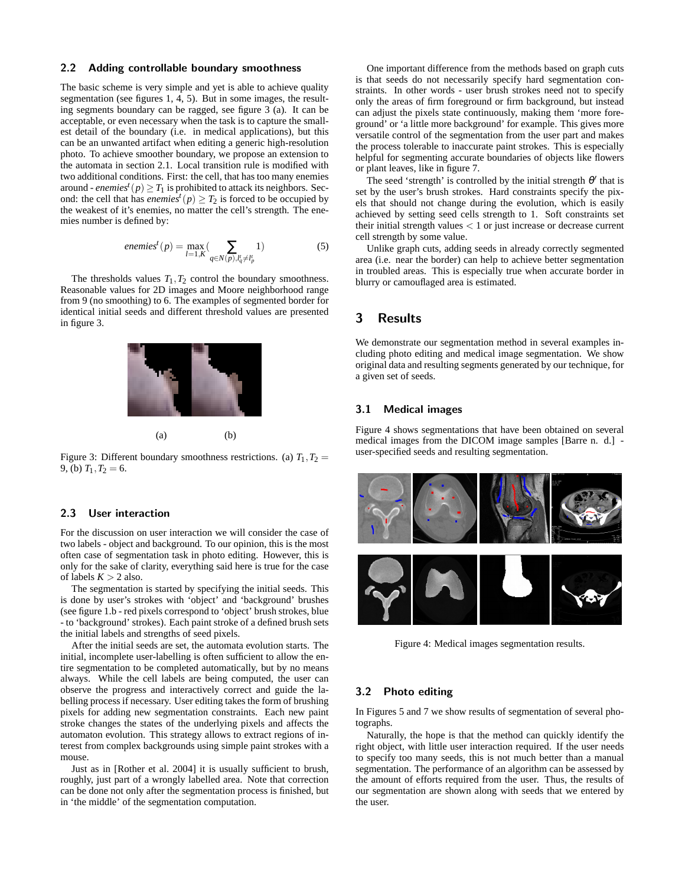#### 2.2 Adding controllable boundary smoothness

The basic scheme is very simple and yet is able to achieve quality segmentation (see figures 1, 4, 5). But in some images, the resulting segments boundary can be ragged, see figure 3 (a). It can be acceptable, or even necessary when the task is to capture the smallest detail of the boundary (i.e. in medical applications), but this can be an unwanted artifact when editing a generic high-resolution photo. To achieve smoother boundary, we propose an extension to the automata in section 2.1. Local transition rule is modified with two additional conditions. First: the cell, that has too many enemies around - *enemies<sup>t</sup>* ( $p$ )  $\geq$   $T_1$  is prohibited to attack its neighbors. Second: the cell that has *enemies<sup>t</sup>*( $p$ )  $\geq T_2$  is forced to be occupied by the weakest of it's enemies, no matter the cell's strength. The enemies number is defined by:

*enemies*<sup>t</sup>(p) = 
$$
\max_{l=1,K}
$$
  $\sum_{q \in N(p), l_q^t \neq l_p^t}$  (5)

The thresholds values  $T_1, T_2$  control the boundary smoothness. Reasonable values for 2D images and Moore neighborhood range from 9 (no smoothing) to 6. The examples of segmented border for identical initial seeds and different threshold values are presented in figure 3.



Figure 3: Different boundary smoothness restrictions. (a)  $T_1, T_2 =$ 9, (b)  $T_1, T_2 = 6$ .

#### 2.3 User interaction

For the discussion on user interaction we will consider the case of two labels - object and background. To our opinion, this is the most often case of segmentation task in photo editing. However, this is only for the sake of clarity, everything said here is true for the case of labels  $K > 2$  also.

The segmentation is started by specifying the initial seeds. This is done by user's strokes with 'object' and 'background' brushes (see figure 1.b - red pixels correspond to 'object' brush strokes, blue - to 'background' strokes). Each paint stroke of a defined brush sets the initial labels and strengths of seed pixels.

After the initial seeds are set, the automata evolution starts. The initial, incomplete user-labelling is often sufficient to allow the entire segmentation to be completed automatically, but by no means always. While the cell labels are being computed, the user can observe the progress and interactively correct and guide the labelling process if necessary. User editing takes the form of brushing pixels for adding new segmentation constraints. Each new paint stroke changes the states of the underlying pixels and affects the automaton evolution. This strategy allows to extract regions of interest from complex backgrounds using simple paint strokes with a mouse.

Just as in [Rother et al. 2004] it is usually sufficient to brush, roughly, just part of a wrongly labelled area. Note that correction can be done not only after the segmentation process is finished, but in 'the middle' of the segmentation computation.

One important difference from the methods based on graph cuts is that seeds do not necessarily specify hard segmentation constraints. In other words - user brush strokes need not to specify only the areas of firm foreground or firm background, but instead can adjust the pixels state continuously, making them 'more foreground' or 'a little more background' for example. This gives more versatile control of the segmentation from the user part and makes the process tolerable to inaccurate paint strokes. This is especially helpful for segmenting accurate boundaries of objects like flowers or plant leaves, like in figure 7.

The seed 'strength' is controlled by the initial strength  $\theta'$  that is set by the user's brush strokes. Hard constraints specify the pixels that should not change during the evolution, which is easily achieved by setting seed cells strength to 1. Soft constraints set their initial strength values  $< 1$  or just increase or decrease current cell strength by some value.

Unlike graph cuts, adding seeds in already correctly segmented area (i.e. near the border) can help to achieve better segmentation in troubled areas. This is especially true when accurate border in blurry or camouflaged area is estimated.

### 3 Results

We demonstrate our segmentation method in several examples including photo editing and medical image segmentation. We show original data and resulting segments generated by our technique, for a given set of seeds.

#### 3.1 Medical images

Figure 4 shows segmentations that have been obtained on several medical images from the DICOM image samples [Barre n. d.] user-specified seeds and resulting segmentation.



Figure 4: Medical images segmentation results.

#### 3.2 Photo editing

In Figures 5 and 7 we show results of segmentation of several photographs.

Naturally, the hope is that the method can quickly identify the right object, with little user interaction required. If the user needs to specify too many seeds, this is not much better than a manual segmentation. The performance of an algorithm can be assessed by the amount of efforts required from the user. Thus, the results of our segmentation are shown along with seeds that we entered by the user.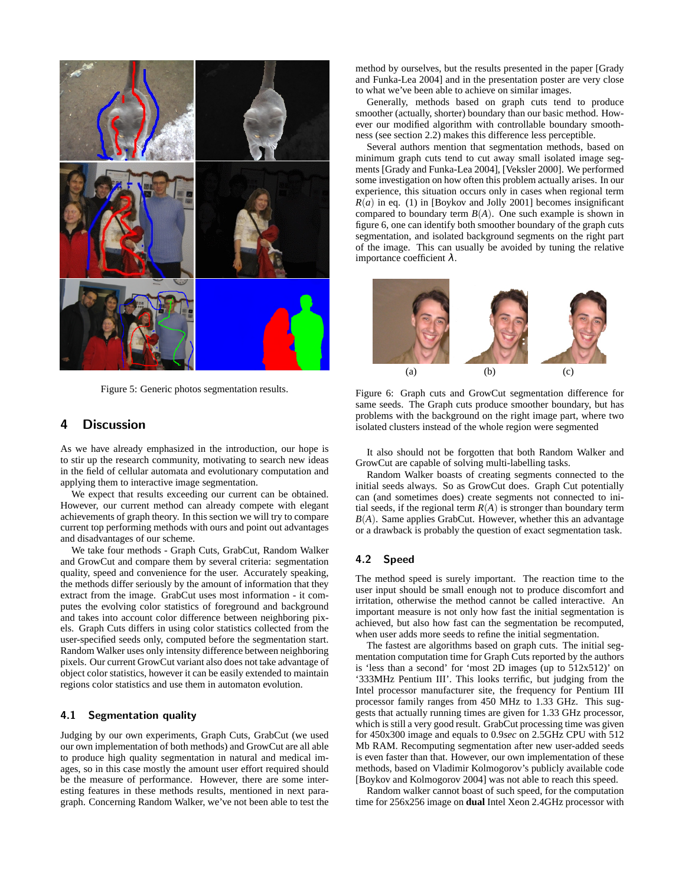

Figure 5: Generic photos segmentation results.

### 4 Discussion

As we have already emphasized in the introduction, our hope is to stir up the research community, motivating to search new ideas in the field of cellular automata and evolutionary computation and applying them to interactive image segmentation.

We expect that results exceeding our current can be obtained. However, our current method can already compete with elegant achievements of graph theory. In this section we will try to compare current top performing methods with ours and point out advantages and disadvantages of our scheme.

We take four methods - Graph Cuts, GrabCut, Random Walker and GrowCut and compare them by several criteria: segmentation quality, speed and convenience for the user. Accurately speaking, the methods differ seriously by the amount of information that they extract from the image. GrabCut uses most information - it computes the evolving color statistics of foreground and background and takes into account color difference between neighboring pixels. Graph Cuts differs in using color statistics collected from the user-specified seeds only, computed before the segmentation start. Random Walker uses only intensity difference between neighboring pixels. Our current GrowCut variant also does not take advantage of object color statistics, however it can be easily extended to maintain regions color statistics and use them in automaton evolution.

### 4.1 Segmentation quality

Judging by our own experiments, Graph Cuts, GrabCut (we used our own implementation of both methods) and GrowCut are all able to produce high quality segmentation in natural and medical images, so in this case mostly the amount user effort required should be the measure of performance. However, there are some interesting features in these methods results, mentioned in next paragraph. Concerning Random Walker, we've not been able to test the method by ourselves, but the results presented in the paper [Grady and Funka-Lea 2004] and in the presentation poster are very close to what we've been able to achieve on similar images.

Generally, methods based on graph cuts tend to produce smoother (actually, shorter) boundary than our basic method. However our modified algorithm with controllable boundary smoothness (see section 2.2) makes this difference less perceptible.

Several authors mention that segmentation methods, based on minimum graph cuts tend to cut away small isolated image segments [Grady and Funka-Lea 2004], [Veksler 2000]. We performed some investigation on how often this problem actually arises. In our experience, this situation occurs only in cases when regional term  $R(a)$  in eq. (1) in [Boykov and Jolly 2001] becomes insignificant compared to boundary term  $B(A)$ . One such example is shown in figure 6, one can identify both smoother boundary of the graph cuts segmentation, and isolated background segments on the right part of the image. This can usually be avoided by tuning the relative importance coefficient  $λ$ .



Figure 6: Graph cuts and GrowCut segmentation difference for same seeds. The Graph cuts produce smoother boundary, but has problems with the background on the right image part, where two isolated clusters instead of the whole region were segmented

It also should not be forgotten that both Random Walker and GrowCut are capable of solving multi-labelling tasks.

Random Walker boasts of creating segments connected to the initial seeds always. So as GrowCut does. Graph Cut potentially can (and sometimes does) create segments not connected to initial seeds, if the regional term  $R(A)$  is stronger than boundary term  $B(A)$ . Same applies GrabCut. However, whether this an advantage or a drawback is probably the question of exact segmentation task.

#### 4.2 Speed

The method speed is surely important. The reaction time to the user input should be small enough not to produce discomfort and irritation, otherwise the method cannot be called interactive. An important measure is not only how fast the initial segmentation is achieved, but also how fast can the segmentation be recomputed, when user adds more seeds to refine the initial segmentation.

The fastest are algorithms based on graph cuts. The initial segmentation computation time for Graph Cuts reported by the authors is 'less than a second' for 'most 2D images (up to 512x512)' on '333MHz Pentium III'. This looks terrific, but judging from the Intel processor manufacturer site, the frequency for Pentium III processor family ranges from 450 MHz to 1.33 GHz. This suggests that actually running times are given for 1.33 GHz processor, which is still a very good result. GrabCut processing time was given for 450x300 image and equals to 0.9*sec* on 2.5GHz CPU with 512 Mb RAM. Recomputing segmentation after new user-added seeds is even faster than that. However, our own implementation of these methods, based on Vladimir Kolmogorov's publicly available code [Boykov and Kolmogorov 2004] was not able to reach this speed.

Random walker cannot boast of such speed, for the computation time for 256x256 image on **dual** Intel Xeon 2.4GHz processor with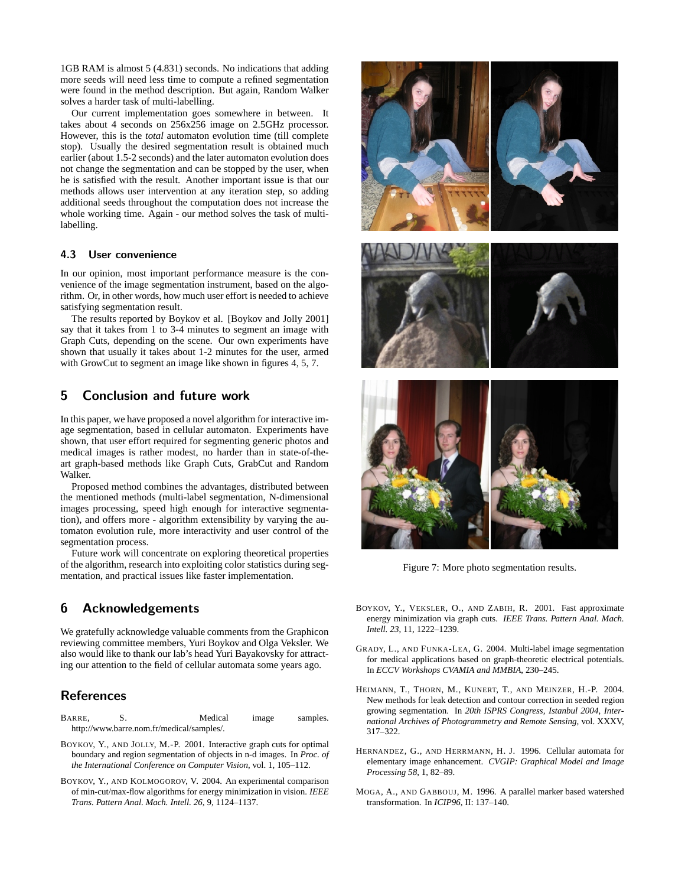1GB RAM is almost 5 (4.831) seconds. No indications that adding more seeds will need less time to compute a refined segmentation were found in the method description. But again, Random Walker solves a harder task of multi-labelling.

Our current implementation goes somewhere in between. It takes about 4 seconds on 256x256 image on 2.5GHz processor. However, this is the *total* automaton evolution time (till complete stop). Usually the desired segmentation result is obtained much earlier (about 1.5-2 seconds) and the later automaton evolution does not change the segmentation and can be stopped by the user, when he is satisfied with the result. Another important issue is that our methods allows user intervention at any iteration step, so adding additional seeds throughout the computation does not increase the whole working time. Again - our method solves the task of multilabelling.

#### 4.3 User convenience

In our opinion, most important performance measure is the convenience of the image segmentation instrument, based on the algorithm. Or, in other words, how much user effort is needed to achieve satisfying segmentation result.

The results reported by Boykov et al. [Boykov and Jolly 2001] say that it takes from 1 to 3-4 minutes to segment an image with Graph Cuts, depending on the scene. Our own experiments have shown that usually it takes about 1-2 minutes for the user, armed with GrowCut to segment an image like shown in figures 4, 5, 7.

### 5 Conclusion and future work

In this paper, we have proposed a novel algorithm for interactive image segmentation, based in cellular automaton. Experiments have shown, that user effort required for segmenting generic photos and medical images is rather modest, no harder than in state-of-theart graph-based methods like Graph Cuts, GrabCut and Random Walker.

Proposed method combines the advantages, distributed between the mentioned methods (multi-label segmentation, N-dimensional images processing, speed high enough for interactive segmentation), and offers more - algorithm extensibility by varying the automaton evolution rule, more interactivity and user control of the segmentation process.

Future work will concentrate on exploring theoretical properties of the algorithm, research into exploiting color statistics during segmentation, and practical issues like faster implementation.

### 6 Acknowledgements

We gratefully acknowledge valuable comments from the Graphicon reviewing committee members, Yuri Boykov and Olga Veksler. We also would like to thank our lab's head Yuri Bayakovsky for attracting our attention to the field of cellular automata some years ago.

### References

- BARRE, S. Medical image samples. http://www.barre.nom.fr/medical/samples/.
- BOYKOV, Y., AND JOLLY, M.-P. 2001. Interactive graph cuts for optimal boundary and region segmentation of objects in n-d images. In *Proc. of the International Conference on Computer Vision*, vol. 1, 105–112.
- BOYKOV, Y., AND KOLMOGOROV, V. 2004. An experimental comparison of min-cut/max-flow algorithms for energy minimization in vision. *IEEE Trans. Pattern Anal. Mach. Intell. 26*, 9, 1124–1137.



Figure 7: More photo segmentation results.

- BOYKOV, Y., VEKSLER, O., AND ZABIH, R. 2001. Fast approximate energy minimization via graph cuts. *IEEE Trans. Pattern Anal. Mach. Intell. 23*, 11, 1222–1239.
- GRADY, L., AND FUNKA-LEA, G. 2004. Multi-label image segmentation for medical applications based on graph-theoretic electrical potentials. In *ECCV Workshops CVAMIA and MMBIA*, 230–245.
- HEIMANN, T., THORN, M., KUNERT, T., AND MEINZER, H.-P. 2004. New methods for leak detection and contour correction in seeded region growing segmentation. In *20th ISPRS Congress, Istanbul 2004, International Archives of Photogrammetry and Remote Sensing*, vol. XXXV, 317–322.
- HERNANDEZ, G., AND HERRMANN, H. J. 1996. Cellular automata for elementary image enhancement. *CVGIP: Graphical Model and Image Processing 58*, 1, 82–89.
- MOGA, A., AND GABBOUJ, M. 1996. A parallel marker based watershed transformation. In *ICIP96*, II: 137–140.